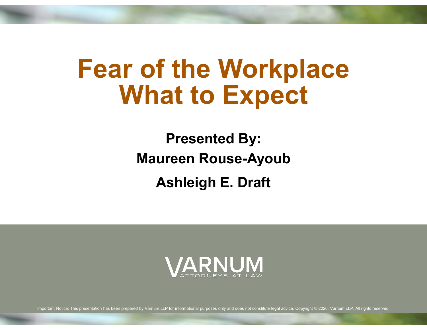# **Fear of the Workplace What to Expect**

**Presented By: Maureen Rouse -Ayoub Ashleigh E. Draft**



Important Notice: This presentation has been prepared by Varnum LLP for informational purposes only and does not constitute legal advice. Copyright © 2020, Varnum LLP. All rights reserved.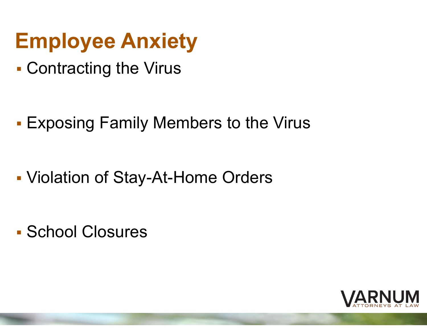## **Employee Anxiety**

▪Contracting the Virus

▪Exposing Family Members to the Virus

▪- Violation of Stay-At-Home Orders

▪ School Closures

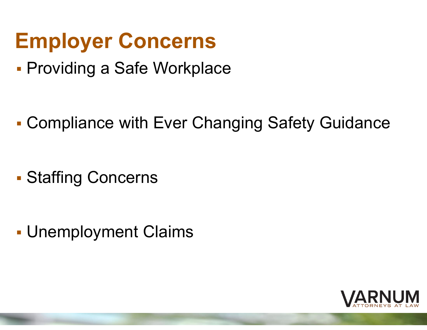### **Employer Concerns**

▪Providing a Safe Workplace

▪Compliance with Ever Changing Safety Guidance

▪Staffing Concerns

▪Unemployment Claims

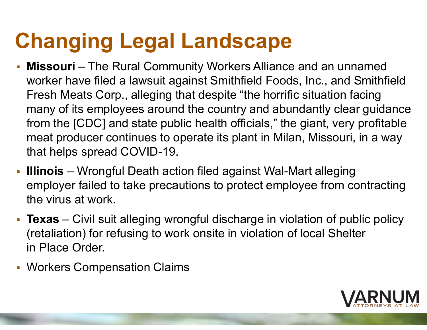# **Changing Legal Landscape**

- **Missouri** – The Rural Community Workers Alliance and an unnamed worker have filed a lawsuit against Smithfield Foods, Inc., and Smithfield Fresh Meats Corp., alleging that despite "the horrific situation facing many of its employees around the country and abundantly clear guidance from the [CDC] and state public health officials," the giant, very profitable meat producer continues to operate its plant in Milan, Missouri, in a way that helps spread COVID -19.
- **Illinois** – Wrongful Death action filed against Wal -Mart alleging employer failed to take precautions to protect employee from contracting the virus at work.
- **Texas** – Civil suit alleging wrongful discharge in violation of public policy (retaliation) for refusing to work onsite in violation of local Shelter in Place Order.
- **Workers Compensation Claims**

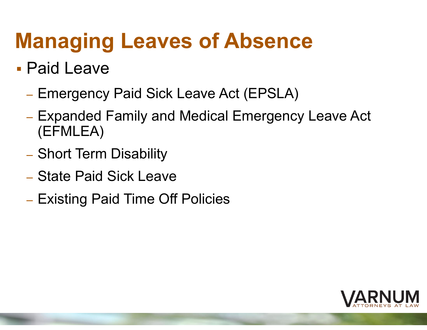## **Managing Leaves of Absence**

- **Paid Leave** 
	- Emergency Paid Sick Leave Act (EPSLA)
	- Expanded Family and Medical Emergency Leave Act (EFMLEA)
	- Short Term Disability
	- ‒ State Paid Sick Leave
	- Existing Paid Time Off Policies

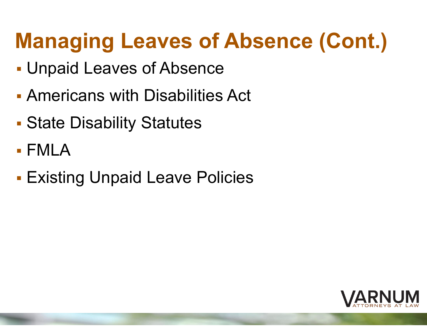# **Managing Leaves of Absence (Cont.)**

- ▪Unpaid Leaves of Absence
- **Americans with Disabilities Act**
- ▪State Disability Statutes
- $\blacksquare$  FMLA
- ▪Existing Unpaid Leave Policies

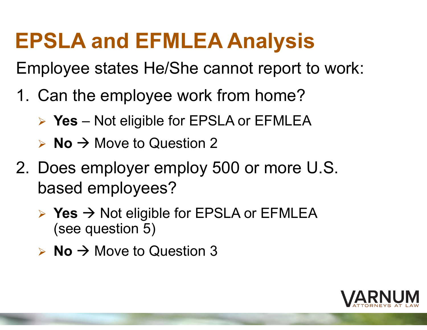## **EPSLA and EFMLEA Analysis**

Employee states He/She cannot report to work:

- 1. Can the employee work from home?
	- ➢ **Yes** –– Not eligible for EPSLA or EFMLEA
	- ➢ **No** → Move to Question 2
- 2. Does employer employ 500 or more U.S. based employees?
	- ➢ **Yes** → Not eligible for EPSLA or EFMLEA (see question 5)
	- ➢ **No** → Move to Question 3

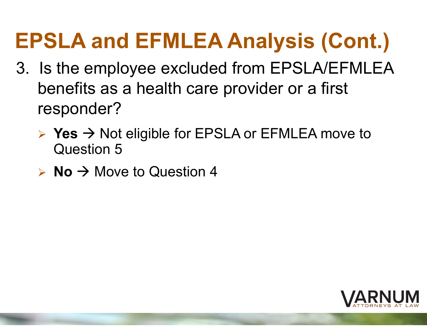# **EPSLA and EFMLEA Analysis (Cont.)**

- 3. Is the employee excluded from EPSLA/EFMLEA benefits as a health care provider or a first responder?
	- ➢ **Yes** → Not eligible for EPSLA or EFMLEA move to Question 5
	- ➢ **No** → Move to Question 4

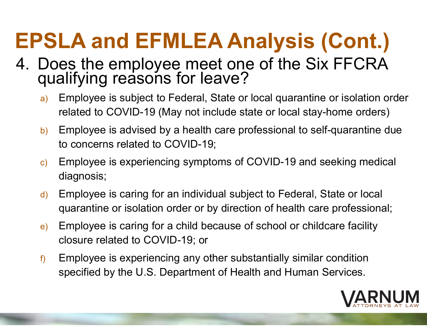# **EPSLA and EFMLEA Analysis (Cont.)**

- 4. Does the employee meet one of the Six FFCRA qualifying reasons for leave?
	- a) Employee is subject to Federal, State or local quarantine or isolation order related to COVID -19 (May not include state or local stay -home orders)
	- b) Employee is advised by a health care professional to self-quarantine due to concerns related to COVID -19;
	- c) Employee is experiencing symptoms of COVID-19 and seeking medical diagnosis;
	- d) Employee is caring for an individual subject to Federal, State or local quarantine or isolation order or by direction of health care professional;
	- e) Employee is caring for a child because of school or childcare facility closure related to COVID -19; or
	- f) Employee is experiencing any other substantially similar condition specified by the U.S. Department of Health and Human Services.

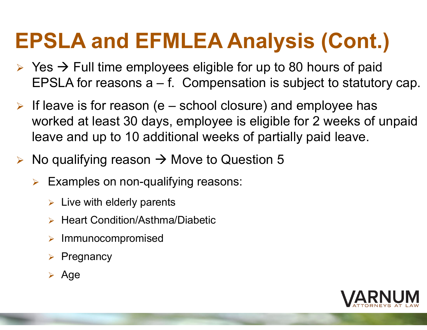# **EPSLA and EFMLEA Analysis (Cont.)**

- $\triangleright$  Yes  $\rightarrow$  Full time employees eligible for up to 80 hours of paid EPSLA for reasons a –f. Compensation is subject to statutory cap.
- ➢ If leave is for reason (e and the state of the – school closure) and employee has worked at least 30 days, employee is eligible for 2 weeks of unpaid leave and up to 10 additional weeks of partially paid leave.
- $\triangleright$  No qualifying reason  $\rightarrow$  Move to Question 5
	- ➢ Examples on non -qualifying reasons:
		- $\triangleright$  Live with elderly parents
		- ➢ Heart Condition/Asthma/Diabetic
		- ➢ Immunocompromised
		- ➢ Pregnancy
		- ➢ Age

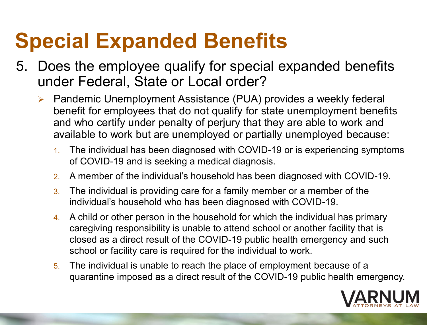## **Special Expanded Benefits**

- 5. Does the employee qualify for special expanded benefits under Federal, State or Local order?
	- ➢ Pandemic Unemployment Assistance (PUA) provides a weekly federal benefit for employees that do not qualify for state unemployment benefits and who certify under penalty of perjury that they are able to work and available to work but are unemployed or partially unemployed because:
		- 1. The individual has been diagnosed with COVID -19 or is experiencing symptoms of COVID -19 and is seeking a medical diagnosis.
		- 2. A member of the individual's household has been diagnosed with COVID -19.
		- 3. The individual is providing care for a family member or a member of the individual's household who has been diagnosed with COVID -19.
		- 4. A child or other person in the household for which the individual has primary caregiving responsibility is unable to attend school or another facility that is closed as a direct result of the COVID -19 public health emergency and such school or facility care is required for the individual to work.
		- 5. The individual is unable to reach the place of employment because of a quarantine imposed as a direct result of the COVID -19 public health emergency.

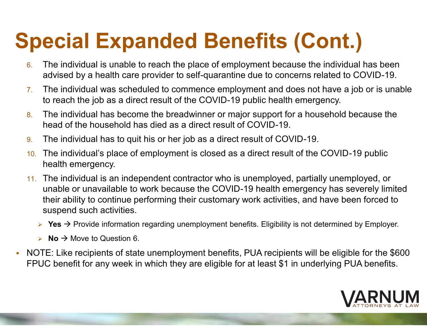# **Special Expanded Benefits (Cont.)**

- 6. The individual is unable to reach the place of employment because the individual has been advised by a health care provider to self-quarantine due to concerns related to COVID-19.
- 7. The individual was scheduled to commence employment and does not have a job or is unable to reach the job as a direct result of the COVID-19 public health emergency.
- 8. The individual has become the breadwinner or major support for a household because the head of the household has died as a direct result of COVID-19.
- 9. The individual has to quit his or her job as a direct result of COVID-19.
- 10. The individual's place of employment is closed as a direct result of the COVID-19 public health emergency.
- 11. The individual is an independent contractor who is unemployed, partially unemployed, or unable or unavailable to work because the COVID-19 health emergency has severely limited their ability to continue performing their customary work activities, and have been forced to suspend such activities.
	- ➢ **Yes** → Provide information regarding unemployment benefits. Eligibility is not determined by Employer.
	- ➢ **No** → Move to Question 6.
- ▪ NOTE: Like recipients of state unemployment benefits, PUA recipients will be eligible for the \$600 FPUC benefit for any week in which they are eligible for at least \$1 in underlying PUA benefits.

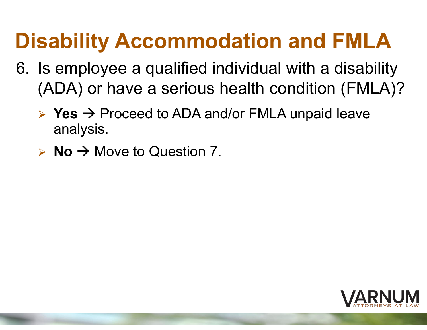# **Disability Accommodation and FMLA**

- 6. Is employee a qualified individual with a disability (ADA) or have a serious health condition (FMLA)?
	- ➢ **Yes** → Proceed to ADA and/or FMLA unpaid leave analysis.
	- ➢ **No** → Move to Question 7.

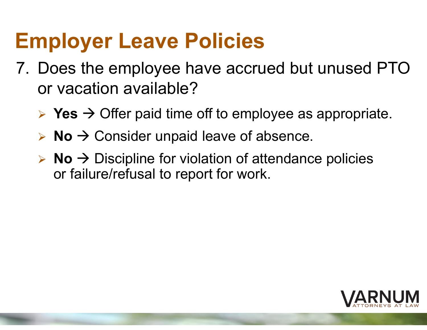### **Employer Leave Policies**

- 7. Does the employee have accrued but unused PTO or vacation available?
	- ➢ **Yes** → Offer paid time off to employee as appropriate.
	- ➢ **No** → Consider unpaid leave of absence.
	- ➢ **No** → Discipline for violation of attendance policies or failure/refusal to report for work.

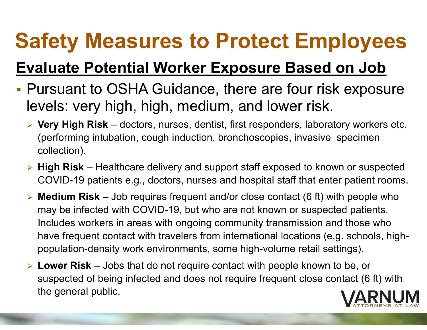## **Safety Measures to Protect Employees**

#### **Evaluate Potential Worker Exposure Based on Job**

- **₽**  Pursuant to OSHA Guidance, there are four risk exposure levels: very high, high, medium, and lower risk.
	- ➢ **Very High Risk**  –– doctors, nurses, dentist, first responders, laboratory workers etc. (performing intubation, cough induction, bronchoscopies, invasive specimen collection).
	- ➢ **High Risk**  –– Healthcare delivery and support staff exposed to known or suspected COVID -19 patients e.g., doctors, nurses and hospital staff that enter patient rooms.
	- ➢ **Medium Risk**  – Job requires frequent and/or close contact (6 ft) with people who may be infected with COVID -19, but who are not known or suspected patients. Includes workers in areas with ongoing community transmission and those who have frequent contact with travelers from international locations (e.g. schools, high population -density work environments, some high -volume retail settings).
	- ➢ **Lower Risk**  Jobs that do not require contact with people known to be, or suspected of being infected and does not require frequent close contact (6 ft) with the general public.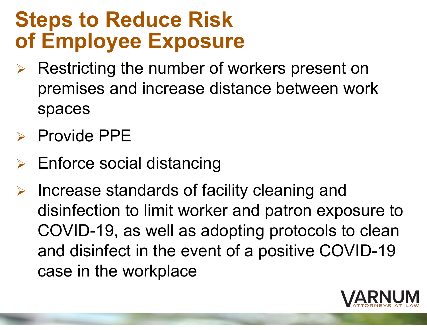#### **Steps to Reduce Risk of Employee Exposure**

- ➢ Restricting the number of workers present on premises and increase distance between work spaces
- ➢ Provide PPE
- ➢ Enforce social distancing
- ➢ Increase standards of facility cleaning and disinfection to limit worker and patron exposure to COVID -19, as well as adopting protocols to clean and disinfect in the event of a positive COVID -19 case in the workplace

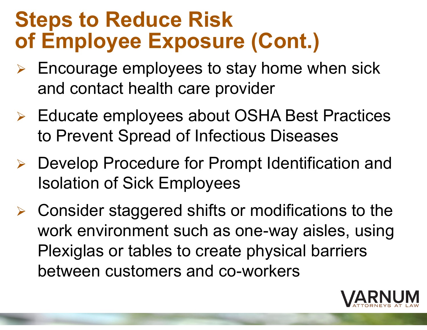#### **Steps to Reduce Risk of Employee Exposure (Cont.)**

- $\triangleright$  Encourage employees to stay home when sick and contact health care provider
- ➢ Educate employees about OSHA Best Practices to Prevent Spread of Infectious Diseases
- ➢ Develop Procedure for Prompt Identification and Isolation of Sick Employees
- ➢ Consider staggered shifts or modifications to the work environment such as one -way aisles, using Plexiglas or tables to create physical barriers between customers and co -workers

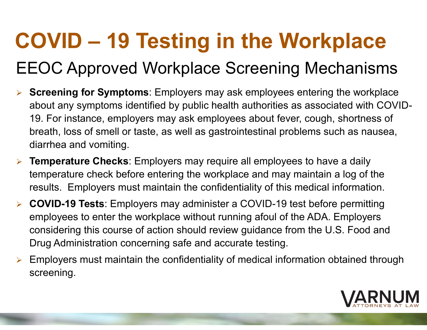# **COVID – 19 Testing in the Workplace**

#### EEOC Approved Workplace Screening Mechanisms

- ➢ **Screening for Symptoms**: Employers may ask employees entering the workplace about any symptoms identified by public health authorities as associated with COVID-19. For instance, employers may ask employees about fever, cough, shortness of breath, loss of smell or taste, as well as gastrointestinal problems such as nausea, diarrhea and vomiting.
- ➢ **Temperature Checks**: Employers may require all employees to have a daily temperature check before entering the workplace and may maintain a log of the results. Employers must maintain the confidentiality of this medical information.
- ➢ **COVID-19 Tests**: Employers may administer a COVID-19 test before permitting employees to enter the workplace without running afoul of the ADA. Employers considering this course of action should review guidance from the U.S. Food and Drug Administration concerning safe and accurate testing.
- ➢ Employers must maintain the confidentiality of medical information obtained through screening.